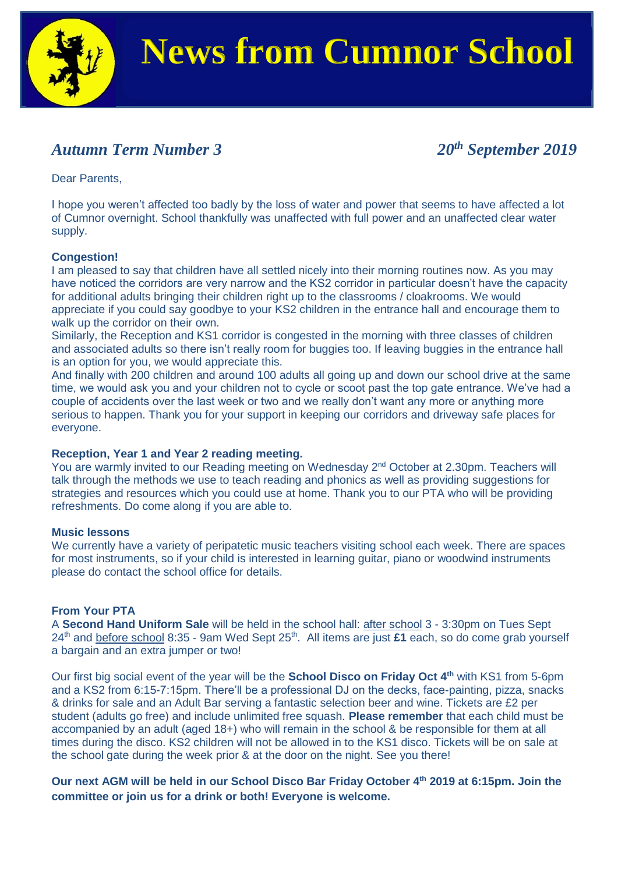

### *Autumn Term Number 3 20th September 2019*

Dear Parents,

I hope you weren't affected too badly by the loss of water and power that seems to have affected a lot of Cumnor overnight. School thankfully was unaffected with full power and an unaffected clear water supply.

#### **Congestion!**

I am pleased to say that children have all settled nicely into their morning routines now. As you may have noticed the corridors are very narrow and the KS2 corridor in particular doesn't have the capacity for additional adults bringing their children right up to the classrooms / cloakrooms. We would appreciate if you could say goodbye to your KS2 children in the entrance hall and encourage them to walk up the corridor on their own.

Similarly, the Reception and KS1 corridor is congested in the morning with three classes of children and associated adults so there isn't really room for buggies too. If leaving buggies in the entrance hall is an option for you, we would appreciate this.

And finally with 200 children and around 100 adults all going up and down our school drive at the same time, we would ask you and your children not to cycle or scoot past the top gate entrance. We've had a couple of accidents over the last week or two and we really don't want any more or anything more serious to happen. Thank you for your support in keeping our corridors and driveway safe places for everyone.

#### **Reception, Year 1 and Year 2 reading meeting.**

You are warmly invited to our Reading meeting on Wednesday 2<sup>nd</sup> October at 2.30pm. Teachers will talk through the methods we use to teach reading and phonics as well as providing suggestions for strategies and resources which you could use at home. Thank you to our PTA who will be providing refreshments. Do come along if you are able to.

#### **Music lessons**

We currently have a variety of peripatetic music teachers visiting school each week. There are spaces for most instruments, so if your child is interested in learning guitar, piano or woodwind instruments please do contact the school office for details.

#### **From Your PTA**

A **Second Hand Uniform Sale** will be held in the school hall: after school 3 - 3:30pm on Tues Sept 24<sup>th</sup> and before school 8:35 - 9am Wed Sept 25<sup>th</sup>. All items are just £1 each, so do come grab yourself a bargain and an extra jumper or two!

Our first big social event of the year will be the **School Disco on Friday Oct 4th** with KS1 from 5-6pm and a KS2 from 6:15-7:15pm. There'll be a professional DJ on the decks, face-painting, pizza, snacks & drinks for sale and an Adult Bar serving a fantastic selection beer and wine. Tickets are £2 per student (adults go free) and include unlimited free squash. **Please remember** that each child must be accompanied by an adult (aged 18+) who will remain in the school & be responsible for them at all times during the disco. KS2 children will not be allowed in to the KS1 disco. Tickets will be on sale at the school gate during the week prior & at the door on the night. See you there!

**Our next AGM will be held in our School Disco Bar Friday October 4th 2019 at 6:15pm. Join the committee or join us for a drink or both! Everyone is welcome.**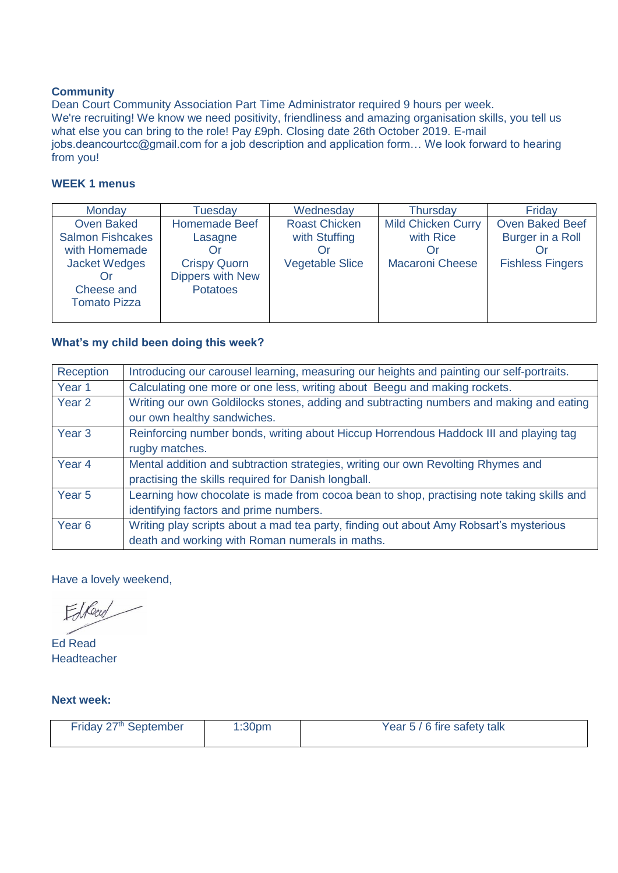#### **Community**

Dean Court Community Association Part Time Administrator required 9 hours per week. We're recruiting! We know we need positivity, friendliness and amazing organisation skills, you tell us what else you can bring to the role! Pay £9ph. Closing date 26th October 2019. E-mail jobs.deancourtcc@gmail.com for a job description and application form… We look forward to hearing from you!

#### **WEEK 1 menus**

| Monday                  | Tuesdav              | Wednesday              | <b>Thursday</b>           | Friday                  |
|-------------------------|----------------------|------------------------|---------------------------|-------------------------|
| <b>Oven Baked</b>       | <b>Homemade Beef</b> | <b>Roast Chicken</b>   | <b>Mild Chicken Curry</b> | <b>Oven Baked Beef</b>  |
| <b>Salmon Fishcakes</b> | Lasagne              | with Stuffing          | with Rice                 | Burger in a Roll        |
| with Homemade           |                      |                        |                           |                         |
| <b>Jacket Wedges</b>    | <b>Crispy Quorn</b>  | <b>Vegetable Slice</b> | <b>Macaroni Cheese</b>    | <b>Fishless Fingers</b> |
|                         | Dippers with New     |                        |                           |                         |
| Cheese and              | <b>Potatoes</b>      |                        |                           |                         |
| <b>Tomato Pizza</b>     |                      |                        |                           |                         |
|                         |                      |                        |                           |                         |

#### **What's my child been doing this week?**

| Reception         | Introducing our carousel learning, measuring our heights and painting our self-portraits. |  |  |
|-------------------|-------------------------------------------------------------------------------------------|--|--|
| Year <sub>1</sub> | Calculating one more or one less, writing about Beegu and making rockets.                 |  |  |
| Year 2            | Writing our own Goldilocks stones, adding and subtracting numbers and making and eating   |  |  |
|                   | our own healthy sandwiches.                                                               |  |  |
| Year <sub>3</sub> | Reinforcing number bonds, writing about Hiccup Horrendous Haddock III and playing tag     |  |  |
|                   | rugby matches.                                                                            |  |  |
| Year <sub>4</sub> | Mental addition and subtraction strategies, writing our own Revolting Rhymes and          |  |  |
|                   | practising the skills required for Danish longball.                                       |  |  |
| Year <sub>5</sub> | Learning how chocolate is made from cocoa bean to shop, practising note taking skills and |  |  |
|                   | identifying factors and prime numbers.                                                    |  |  |
| Year <sub>6</sub> | Writing play scripts about a mad tea party, finding out about Amy Robsart's mysterious    |  |  |
|                   | death and working with Roman numerals in maths.                                           |  |  |

Have a lovely weekend,

Edberg

Ed Read Headteacher

**Next week:**

| Friday 27th September | 1:30 <sub>pm</sub> | Year 5 / 6 fire safety talk |
|-----------------------|--------------------|-----------------------------|
|                       |                    |                             |